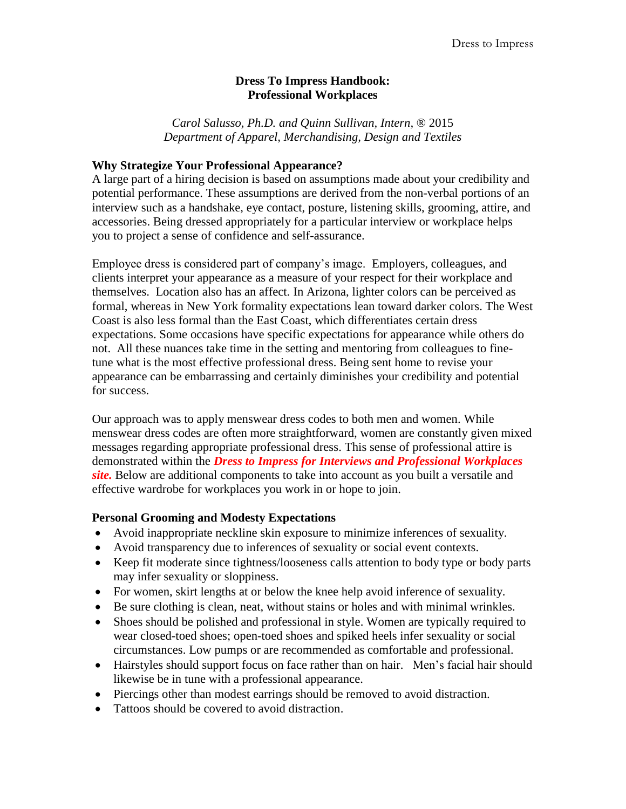### **Dress To Impress Handbook: Professional Workplaces**

*Carol Salusso, Ph.D. and Quinn Sullivan, Intern,* ® 2015 *Department of Apparel, Merchandising, Design and Textiles*

### **Why Strategize Your Professional Appearance?**

A large part of a hiring decision is based on assumptions made about your credibility and potential performance. These assumptions are derived from the non-verbal portions of an interview such as a handshake, eye contact, posture, listening skills, grooming, attire, and accessories. Being dressed appropriately for a particular interview or workplace helps you to project a sense of confidence and self-assurance.

Employee dress is considered part of company's image. Employers, colleagues, and clients interpret your appearance as a measure of your respect for their workplace and themselves. Location also has an affect. In Arizona, lighter colors can be perceived as formal, whereas in New York formality expectations lean toward darker colors. The West Coast is also less formal than the East Coast, which differentiates certain dress expectations. Some occasions have specific expectations for appearance while others do not. All these nuances take time in the setting and mentoring from colleagues to finetune what is the most effective professional dress. Being sent home to revise your appearance can be embarrassing and certainly diminishes your credibility and potential for success.

Our approach was to apply menswear dress codes to both men and women. While menswear dress codes are often more straightforward, women are constantly given mixed messages regarding appropriate professional dress. This sense of professional attire is demonstrated within the *Dress to Impress for Interviews and Professional Workplaces site.* Below are additional components to take into account as you built a versatile and effective wardrobe for workplaces you work in or hope to join.

# **Personal Grooming and Modesty Expectations**

- Avoid inappropriate neckline skin exposure to minimize inferences of sexuality.
- Avoid transparency due to inferences of sexuality or social event contexts.
- Keep fit moderate since tightness/looseness calls attention to body type or body parts may infer sexuality or sloppiness.
- For women, skirt lengths at or below the knee help avoid inference of sexuality.
- Be sure clothing is clean, neat, without stains or holes and with minimal wrinkles.
- Shoes should be polished and professional in style. Women are typically required to wear closed-toed shoes; open-toed shoes and spiked heels infer sexuality or social circumstances. Low pumps or are recommended as comfortable and professional.
- Hairstyles should support focus on face rather than on hair. Men's facial hair should likewise be in tune with a professional appearance.
- Piercings other than modest earrings should be removed to avoid distraction.
- Tattoos should be covered to avoid distraction.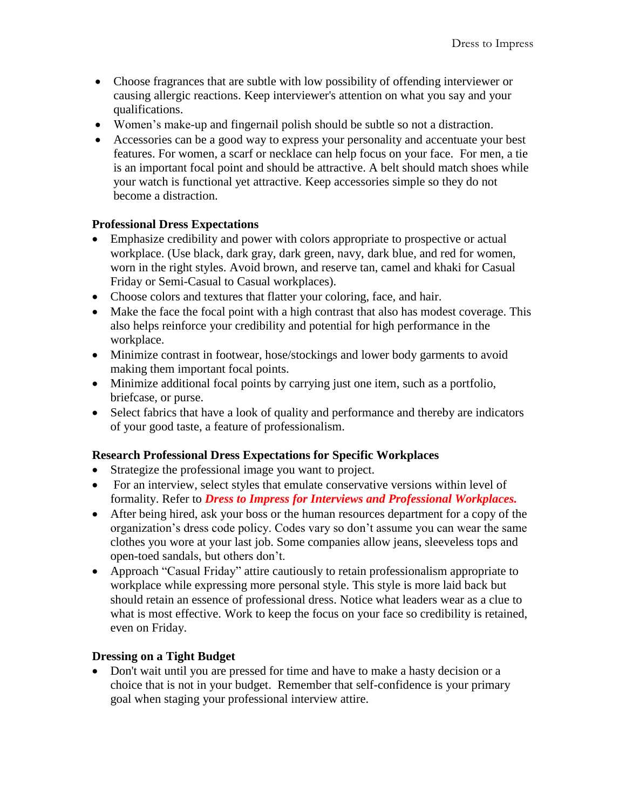- Choose fragrances that are subtle with low possibility of offending interviewer or causing allergic reactions. Keep interviewer's attention on what you say and your qualifications.
- Women's make-up and fingernail polish should be subtle so not a distraction.
- Accessories can be a good way to express your personality and accentuate your best features. For women, a scarf or necklace can help focus on your face. For men, a tie is an important focal point and should be attractive. A belt should match shoes while your watch is functional yet attractive. Keep accessories simple so they do not become a distraction.

## **Professional Dress Expectations**

- Emphasize credibility and power with colors appropriate to prospective or actual workplace. (Use black, dark gray, dark green, navy, dark blue, and red for women, worn in the right styles. Avoid brown, and reserve tan, camel and khaki for Casual Friday or Semi-Casual to Casual workplaces).
- Choose colors and textures that flatter your coloring, face, and hair.
- Make the face the focal point with a high contrast that also has modest coverage. This also helps reinforce your credibility and potential for high performance in the workplace.
- Minimize contrast in footwear, hose/stockings and lower body garments to avoid making them important focal points.
- Minimize additional focal points by carrying just one item, such as a portfolio, briefcase, or purse.
- Select fabrics that have a look of quality and performance and thereby are indicators of your good taste, a feature of professionalism.

### **Research Professional Dress Expectations for Specific Workplaces**

- Strategize the professional image you want to project.
- For an interview, select styles that emulate conservative versions within level of formality. Refer to *Dress to Impress for Interviews and Professional Workplaces.*
- After being hired, ask your boss or the human resources department for a copy of the organization's dress code policy. Codes vary so don't assume you can wear the same clothes you wore at your last job. Some companies allow jeans, sleeveless tops and open-toed sandals, but others don't.
- Approach "Casual Friday" attire cautiously to retain professionalism appropriate to workplace while expressing more personal style. This style is more laid back but should retain an essence of professional dress. Notice what leaders wear as a clue to what is most effective. Work to keep the focus on your face so credibility is retained, even on Friday.

### **Dressing on a Tight Budget**

• Don't wait until you are pressed for time and have to make a hasty decision or a choice that is not in your budget. Remember that self-confidence is your primary goal when staging your professional interview attire.